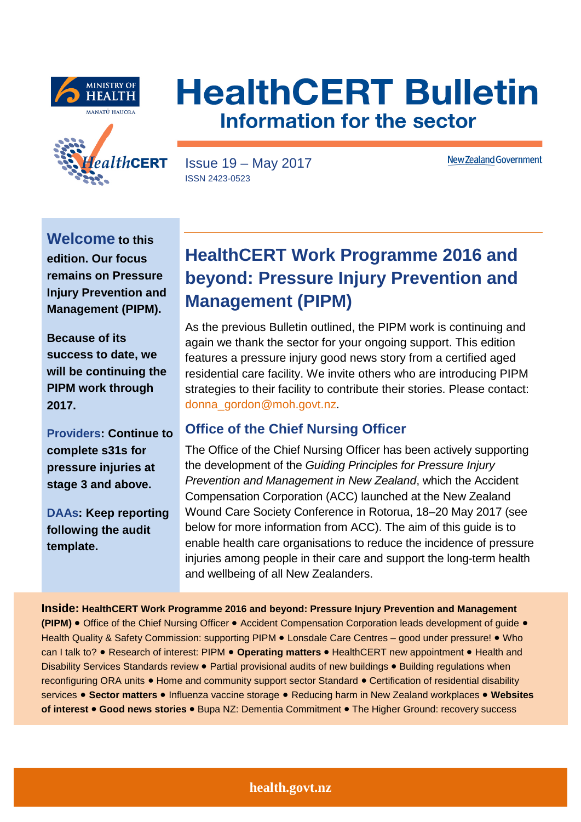





Issue 19 – May 2017 ISSN 2423-0523

**New Zealand Government** 

**Welcome to this edition. Our focus remains on Pressure Injury Prevention and Management (PIPM).** 

**Because of its success to date, we will be continuing the PIPM work through 2017.** 

**Providers: Continue to complete s31s for pressure injuries at stage 3 and above.** 

**DAAs: Keep reporting following the audit template.** 

# **HealthCERT Work Programme 2016 and beyond: Pressure Injury Prevention and Management (PIPM)**

As the previous Bulletin outlined, the PIPM work is continuing and again we thank the sector for your ongoing support. This edition features a pressure injury good news story from a certified aged residential care facility. We invite others who are introducing PIPM strategies to their facility to contribute their stories. Please contact: [donna\\_gordon@moh.govt.nz.](mailto:donna_gordon@moh.govt.nz)

## **Office of the Chief Nursing Officer**

The Office of the Chief Nursing Officer has been actively supporting the development of the *Guiding Principles for Pressure Injury Prevention and Management in New Zealand*, which the Accident Compensation Corporation (ACC) launched at the New Zealand Wound Care Society Conference in Rotorua, 18–20 May 2017 (see below for more information from ACC). The aim of this guide is to enable health care organisations to reduce the incidence of pressure injuries among people in their care and support the long-term health and wellbeing of all New Zealanders.

**Inside: HealthCERT Work Programme 2016 and beyond: Pressure Injury Prevention and Management (PIPM)** • Office of the Chief Nursing Officer • Accident Compensation Corporation leads development of guide • Health Quality & Safety Commission: supporting PIPM • Lonsdale Care Centres – good under pressure! • Who can I talk to? • Research of interest: PIPM • **Operating matters** • HealthCERT new appointment • Health and Disability Services Standards review • Partial provisional audits of new buildings • Building regulations when reconfiguring ORA units • Home and community support sector Standard • Certification of residential disability services • **Sector matters** • Influenza vaccine storage • Reducing harm in New Zealand workplaces • **Websites of interest** • **Good news stories** • Bupa NZ: Dementia Commitment • The Higher Ground: recovery success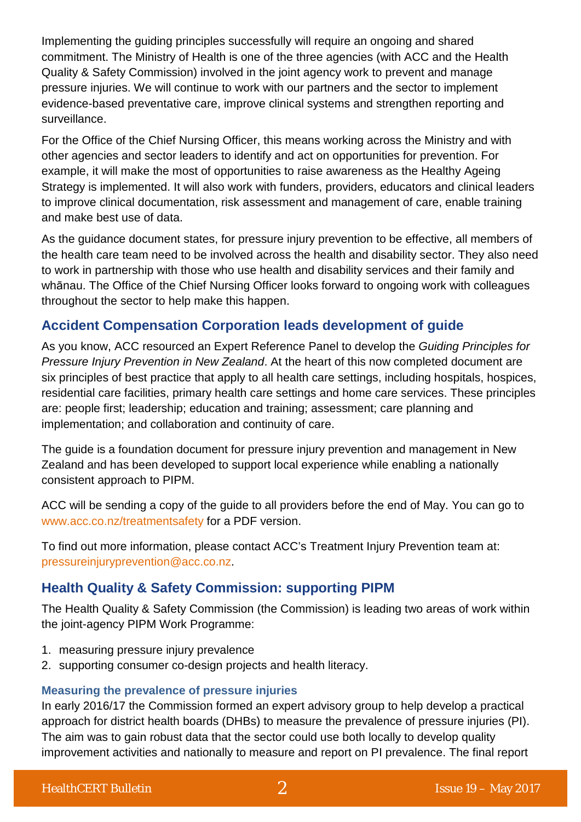Implementing the guiding principles successfully will require an ongoing and shared commitment. The Ministry of Health is one of the three agencies (with ACC and the Health Quality & Safety Commission) involved in the joint agency work to prevent and manage pressure injuries. We will continue to work with our partners and the sector to implement evidence-based preventative care, improve clinical systems and strengthen reporting and surveillance.

For the Office of the Chief Nursing Officer, this means working across the Ministry and with other agencies and sector leaders to identify and act on opportunities for prevention. For example, it will make the most of opportunities to raise awareness as the Healthy Ageing Strategy is implemented. It will also work with funders, providers, educators and clinical leaders to improve clinical documentation, risk assessment and management of care, enable training and make best use of data.

As the guidance document states, for pressure injury prevention to be effective, all members of the health care team need to be involved across the health and disability sector. They also need to work in partnership with those who use health and disability services and their family and whānau. The Office of the Chief Nursing Officer looks forward to ongoing work with colleagues throughout the sector to help make this happen.

### **Accident Compensation Corporation leads development of guide**

As you know, ACC resourced an Expert Reference Panel to develop the *Guiding Principles for Pressure Injury Prevention in New Zealand*. At the heart of this now completed document are six principles of best practice that apply to all health care settings, including hospitals, hospices, residential care facilities, primary health care settings and home care services. These principles are: people first; leadership; education and training; assessment; care planning and implementation; and collaboration and continuity of care.

The guide is a foundation document for pressure injury prevention and management in New Zealand and has been developed to support local experience while enabling a nationally consistent approach to PIPM.

ACC will be sending a copy of the guide to all providers before the end of May. You can go to [www.acc.co.nz/treatmentsafety](http://scanmail.trustwave.com/?c=5305&d=1NiU2c9rOs7wKhI0NKnFSQUdVX98H2eV1jLqgPY_MQ&u=http%3a%2f%2fwww%2eacc%2eco%2enz%2ftreatmentsafety) for a PDF version.

To find out more information, please contact ACC's Treatment Injury Prevention team at: [pressureinjuryprevention@acc.co.nz.](mailto:pressureinjuryprevention@acc.co.nz)

## **Health Quality & Safety Commission: supporting PIPM**

The Health Quality & Safety Commission (the Commission) is leading two areas of work within the joint-agency PIPM Work Programme:

- 1. measuring pressure injury prevalence
- 2. supporting consumer co-design projects and health literacy.

#### **Measuring the prevalence of pressure injuries**

In early 2016/17 the Commission formed an expert advisory group to help develop a practical approach for district health boards (DHBs) to measure the prevalence of pressure injuries (PI). The aim was to gain robust data that the sector could use both locally to develop quality improvement activities and nationally to measure and report on PI prevalence. The final report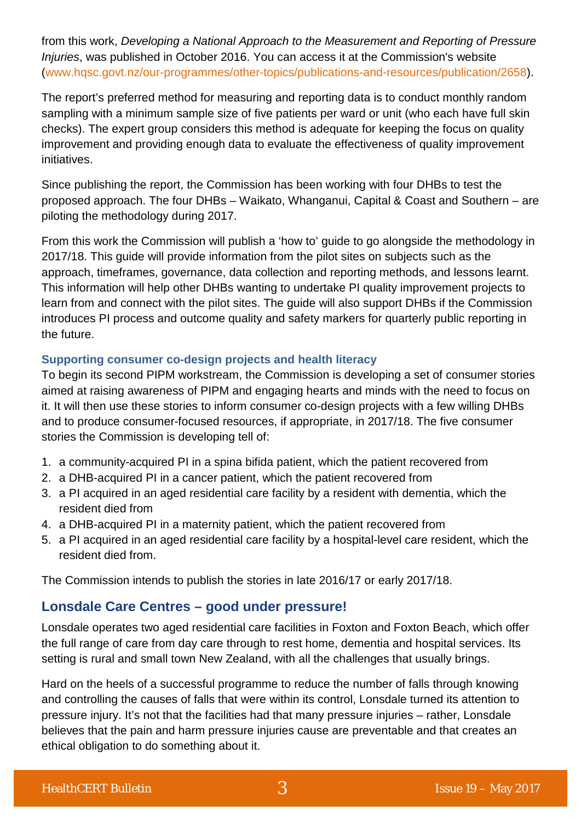from this work, *Developing a National Approach to the Measurement and Reporting of Pressure Injuries*, was published in October 2016. You can access it at the Commission's website [\(www.hqsc.govt.nz/our-programmes/other-topics/publications-and-resources/publication/2658\)](http://www.hqsc.govt.nz/our-programmes/other-topics/publications-and-resources/publication/2658).

The report's preferred method for measuring and reporting data is to conduct monthly random sampling with a minimum sample size of five patients per ward or unit (who each have full skin checks). The expert group considers this method is adequate for keeping the focus on quality improvement and providing enough data to evaluate the effectiveness of quality improvement initiatives.

Since publishing the report, the Commission has been working with four DHBs to test the proposed approach. The four DHBs – Waikato, Whanganui, Capital & Coast and Southern – are piloting the methodology during 2017.

From this work the Commission will publish a 'how to' guide to go alongside the methodology in 2017/18. This guide will provide information from the pilot sites on subjects such as the approach, timeframes, governance, data collection and reporting methods, and lessons learnt. This information will help other DHBs wanting to undertake PI quality improvement projects to learn from and connect with the pilot sites. The guide will also support DHBs if the Commission introduces PI process and outcome quality and safety markers for quarterly public reporting in the future.

#### **Supporting consumer co-design projects and health literacy**

To begin its second PIPM workstream, the Commission is developing a set of consumer stories aimed at raising awareness of PIPM and engaging hearts and minds with the need to focus on it. It will then use these stories to inform consumer co-design projects with a few willing DHBs and to produce consumer-focused resources, if appropriate, in 2017/18. The five consumer stories the Commission is developing tell of:

- 1. a community-acquired PI in a spina bifida patient, which the patient recovered from
- 2. a DHB-acquired PI in a cancer patient, which the patient recovered from
- 3. a PI acquired in an aged residential care facility by a resident with dementia, which the resident died from
- 4. a DHB-acquired PI in a maternity patient, which the patient recovered from
- 5. a PI acquired in an aged residential care facility by a hospital-level care resident, which the resident died from.

The Commission intends to publish the stories in late 2016/17 or early 2017/18.

#### **Lonsdale Care Centres – good under pressure!**

Lonsdale operates two aged residential care facilities in Foxton and Foxton Beach, which offer the full range of care from day care through to rest home, dementia and hospital services. Its setting is rural and small town New Zealand, with all the challenges that usually brings.

Hard on the heels of a successful programme to reduce the number of falls through knowing and controlling the causes of falls that were within its control, Lonsdale turned its attention to pressure injury. It's not that the facilities had that many pressure injuries – rather, Lonsdale believes that the pain and harm pressure injuries cause are preventable and that creates an ethical obligation to do something about it.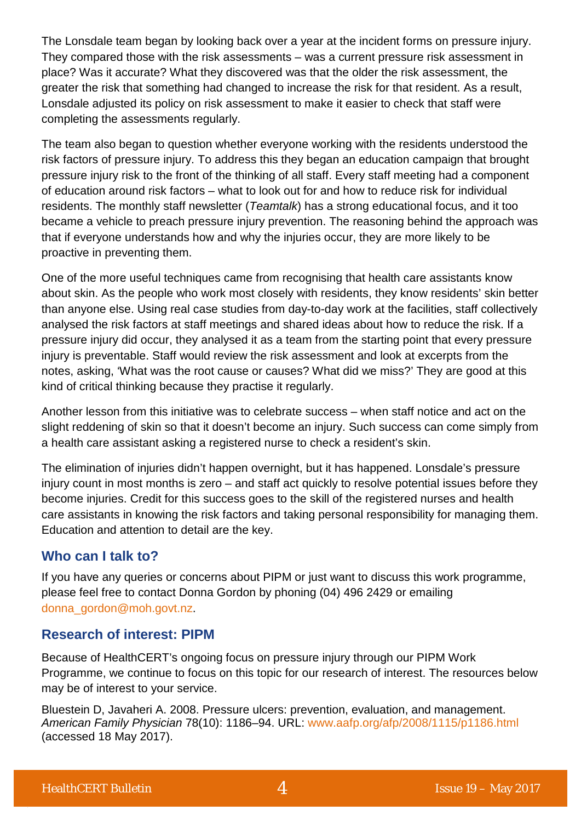The Lonsdale team began by looking back over a year at the incident forms on pressure injury. They compared those with the risk assessments – was a current pressure risk assessment in place? Was it accurate? What they discovered was that the older the risk assessment, the greater the risk that something had changed to increase the risk for that resident. As a result, Lonsdale adjusted its policy on risk assessment to make it easier to check that staff were completing the assessments regularly.

The team also began to question whether everyone working with the residents understood the risk factors of pressure injury. To address this they began an education campaign that brought pressure injury risk to the front of the thinking of all staff. Every staff meeting had a component of education around risk factors – what to look out for and how to reduce risk for individual residents. The monthly staff newsletter (*Teamtalk*) has a strong educational focus, and it too became a vehicle to preach pressure injury prevention. The reasoning behind the approach was that if everyone understands how and why the injuries occur, they are more likely to be proactive in preventing them.

One of the more useful techniques came from recognising that health care assistants know about skin. As the people who work most closely with residents, they know residents' skin better than anyone else. Using real case studies from day-to-day work at the facilities, staff collectively analysed the risk factors at staff meetings and shared ideas about how to reduce the risk. If a pressure injury did occur, they analysed it as a team from the starting point that every pressure injury is preventable. Staff would review the risk assessment and look at excerpts from the notes, asking, 'What was the root cause or causes? What did we miss?' They are good at this kind of critical thinking because they practise it regularly.

Another lesson from this initiative was to celebrate success – when staff notice and act on the slight reddening of skin so that it doesn't become an injury. Such success can come simply from a health care assistant asking a registered nurse to check a resident's skin.

The elimination of injuries didn't happen overnight, but it has happened. Lonsdale's pressure injury count in most months is zero – and staff act quickly to resolve potential issues before they become injuries. Credit for this success goes to the skill of the registered nurses and health care assistants in knowing the risk factors and taking personal responsibility for managing them. Education and attention to detail are the key.

## **Who can I talk to?**

If you have any queries or concerns about PIPM or just want to discuss this work programme, please feel free to contact Donna Gordon by phoning (04) 496 2429 or emailing [donna\\_gordon@moh.govt.nz.](mailto:donna_gordon@moh.govt.nz)

### **Research of interest: PIPM**

Because of HealthCERT's ongoing focus on pressure injury through our PIPM Work Programme, we continue to focus on this topic for our research of interest. The resources below may be of interest to your service.

Bluestein D, Javaheri A. 2008. Pressure ulcers: prevention, evaluation, and management. *American Family Physician* 78(10): 1186–94. URL: [www.aafp.org/afp/2008/1115/p1186.html](http://www.aafp.org/afp/2008/1115/p1186.html) (accessed 18 May 2017).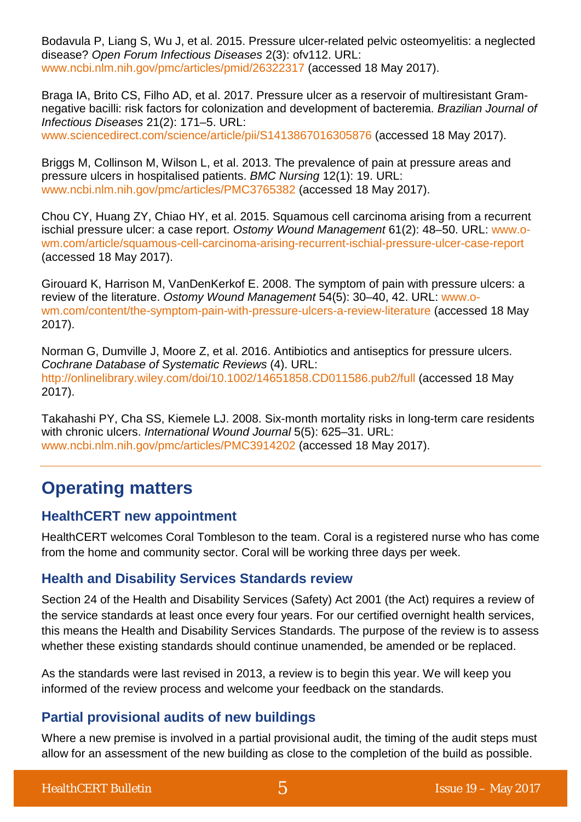Bodavula P, Liang S, Wu J, et al. 2015. Pressure ulcer-related pelvic osteomyelitis: a neglected disease? *Open Forum Infectious Diseases* 2(3): ofv112. URL: [www.ncbi.nlm.nih.gov/pmc/articles/pmid/26322317](https://www.ncbi.nlm.nih.gov/pmc/articles/pmid/26322317/) (accessed 18 May 2017).

Braga IA, Brito CS, Filho AD, et al. 2017. Pressure ulcer as a reservoir of multiresistant Gramnegative bacilli: risk factors for colonization and development of bacteremia. *Brazilian Journal of Infectious Diseases* 21(2): 171–5. URL:

[www.sciencedirect.com/science/article/pii/S1413867016305876](http://www.sciencedirect.com/science/article/pii/S1413867016305876) (accessed 18 May 2017).

Briggs M, Collinson M, Wilson L, et al. 2013. The prevalence of pain at pressure areas and pressure ulcers in hospitalised patients. *BMC Nursing* 12(1): 19. URL: [www.ncbi.nlm.nih.gov/pmc/articles/PMC3765382](https://www.ncbi.nlm.nih.gov/pmc/articles/PMC3765382/) (accessed 18 May 2017).

Chou CY, Huang ZY, Chiao HY, et al. 2015. Squamous cell carcinoma arising from a recurrent ischial pressure ulcer: a case report. *Ostomy Wound Management* 61(2): 48–50. URL: [www.o](http://www.o-wm.com/article/squamous-cell-carcinoma-arising-recurrent-ischial-pressure-ulcer-case-report)[wm.com/article/squamous-cell-carcinoma-arising-recurrent-ischial-pressure-ulcer-case-report](http://www.o-wm.com/article/squamous-cell-carcinoma-arising-recurrent-ischial-pressure-ulcer-case-report) (accessed 18 May 2017).

Girouard K, Harrison M, VanDenKerkof E. 2008. The symptom of pain with pressure ulcers: a review of the literature. *Ostomy Wound Management* 54(5): 30–40, 42. URL: [www.o](http://www.o-wm.com/content/the-symptom-pain-with-pressure-ulcers-a-review-literature)[wm.com/content/the-symptom-pain-with-pressure-ulcers-a-review-literature](http://www.o-wm.com/content/the-symptom-pain-with-pressure-ulcers-a-review-literature) (accessed 18 May 2017).

Norman G, Dumville J, Moore Z, et al. 2016. Antibiotics and antiseptics for pressure ulcers. *Cochrane Database of Systematic Reviews* (4). URL: <http://onlinelibrary.wiley.com/doi/10.1002/14651858.CD011586.pub2/full> (accessed 18 May 2017).

Takahashi PY, Cha SS, Kiemele LJ. 2008. Six-month mortality risks in long-term care residents with chronic ulcers. *International Wound Journal* 5(5): 625–31. URL: [www.ncbi.nlm.nih.gov/pmc/articles/PMC3914202](https://www.ncbi.nlm.nih.gov/pmc/articles/PMC3914202/) (accessed 18 May 2017).

# **Operating matters**

### **HealthCERT new appointment**

HealthCERT welcomes Coral Tombleson to the team. Coral is a registered nurse who has come from the home and community sector. Coral will be working three days per week.

### **Health and Disability Services Standards review**

Section 24 of the Health and Disability Services (Safety) Act 2001 (the Act) requires a review of the service standards at least once every four years. For our certified overnight health services, this means the Health and Disability Services Standards. The purpose of the review is to assess whether these existing standards should continue unamended, be amended or be replaced.

As the standards were last revised in 2013, a review is to begin this year. We will keep you informed of the review process and welcome your feedback on the standards.

### **Partial provisional audits of new buildings**

Where a new premise is involved in a partial provisional audit, the timing of the audit steps must allow for an assessment of the new building as close to the completion of the build as possible.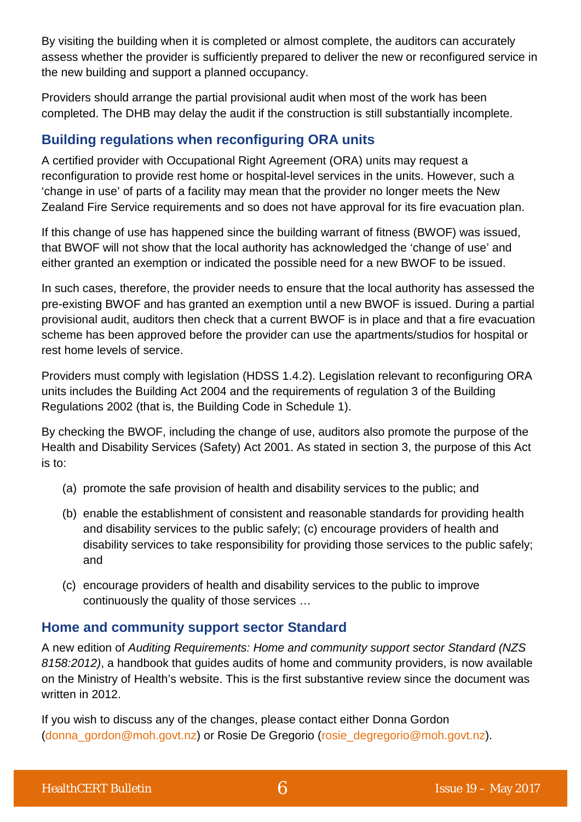By visiting the building when it is completed or almost complete, the auditors can accurately assess whether the provider is sufficiently prepared to deliver the new or reconfigured service in the new building and support a planned occupancy.

Providers should arrange the partial provisional audit when most of the work has been completed. The DHB may delay the audit if the construction is still substantially incomplete.

# **Building regulations when reconfiguring ORA units**

A certified provider with Occupational Right Agreement (ORA) units may request a reconfiguration to provide rest home or hospital-level services in the units. However, such a 'change in use' of parts of a facility may mean that the provider no longer meets the New Zealand Fire Service requirements and so does not have approval for its fire evacuation plan.

If this change of use has happened since the building warrant of fitness (BWOF) was issued, that BWOF will not show that the local authority has acknowledged the 'change of use' and either granted an exemption or indicated the possible need for a new BWOF to be issued.

In such cases, therefore, the provider needs to ensure that the local authority has assessed the pre-existing BWOF and has granted an exemption until a new BWOF is issued. During a partial provisional audit, auditors then check that a current BWOF is in place and that a fire evacuation scheme has been approved before the provider can use the apartments/studios for hospital or rest home levels of service.

Providers must comply with legislation (HDSS 1.4.2). Legislation relevant to reconfiguring ORA units includes the Building Act 2004 and the requirements of regulation 3 of the Building Regulations 2002 (that is, the Building Code in Schedule 1).

By checking the BWOF, including the change of use, auditors also promote the purpose of the Health and Disability Services (Safety) Act 2001. As stated in section 3, the purpose of this Act is to:

- (a) promote the safe provision of health and disability services to the public; and
- (b) enable the establishment of consistent and reasonable standards for providing health and disability services to the public safely; (c) encourage providers of health and disability services to take responsibility for providing those services to the public safely; and
- (c) encourage providers of health and disability services to the public to improve continuously the quality of those services …

## **Home and community support sector Standard**

A new edition of *Auditing Requirements: Home and community support sector Standard (NZS 8158:2012)*, a handbook that guides audits of home and community providers, is now available on the Ministry of Health's website. This is the first substantive review since the document was written in 2012.

If you wish to discuss any of the changes, please contact either Donna Gordon [\(donna\\_gordon@moh.govt.nz\)](mailto:donna_gordon@moh.govt.nz) or Rosie De Gregorio [\(rosie\\_degregorio@moh.govt.nz\)](mailto:rosie_degregorio@moh.govt.nz).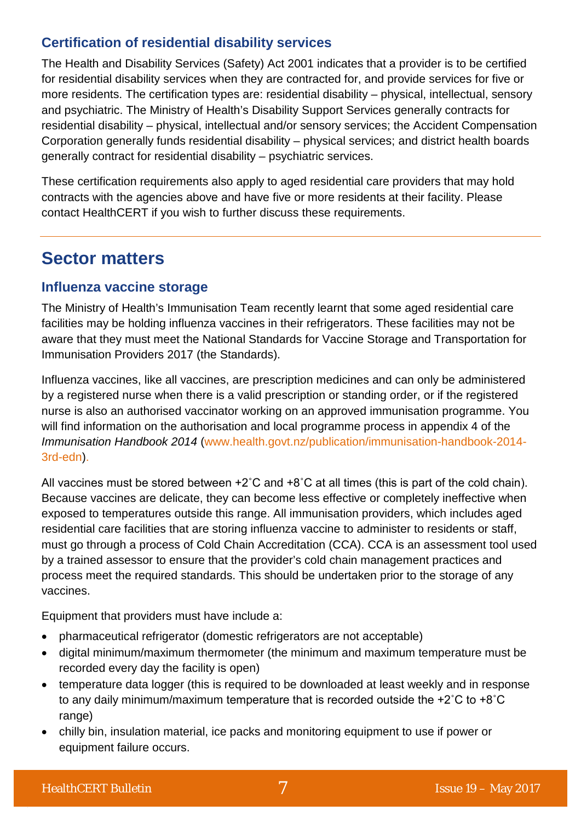## **Certification of residential disability services**

The Health and Disability Services (Safety) Act 2001 indicates that a provider is to be certified for residential disability services when they are contracted for, and provide services for five or more residents. The certification types are: residential disability – physical, intellectual, sensory and psychiatric. The Ministry of Health's Disability Support Services generally contracts for residential disability – physical, intellectual and/or sensory services; the Accident Compensation Corporation generally funds residential disability – physical services; and district health boards generally contract for residential disability – psychiatric services.

These certification requirements also apply to aged residential care providers that may hold contracts with the agencies above and have five or more residents at their facility. Please contact HealthCERT if you wish to further discuss these requirements.

# **Sector matters**

#### **Influenza vaccine storage**

The Ministry of Health's Immunisation Team recently learnt that some aged residential care facilities may be holding influenza vaccines in their refrigerators. These facilities may not be aware that they must meet the National Standards for Vaccine Storage and Transportation for Immunisation Providers 2017 (the Standards).

Influenza vaccines, like all vaccines, are prescription medicines and can only be administered by a registered nurse when there is a valid prescription or standing order, or if the registered nurse is also an authorised vaccinator working on an approved immunisation programme. You will find information on the authorisation and local programme process in appendix 4 of the *Immunisation Handbook 2014* [\(www.health.govt.nz/publication/immunisation-handbook-2014-](http://www.health.govt.nz/publication/immunisation-handbook-2014-3rd-edn) [3rd-edn\)](http://www.health.govt.nz/publication/immunisation-handbook-2014-3rd-edn).

All vaccines must be stored between +2˚C and +8˚C at all times (this is part of the cold chain). Because vaccines are delicate, they can become less effective or completely ineffective when exposed to temperatures outside this range. All immunisation providers, which includes aged residential care facilities that are storing influenza vaccine to administer to residents or staff, must go through a process of Cold Chain Accreditation (CCA). CCA is an assessment tool used by a trained assessor to ensure that the provider's cold chain management practices and process meet the required standards. This should be undertaken prior to the storage of any vaccines.

Equipment that providers must have include a:

- pharmaceutical refrigerator (domestic refrigerators are not acceptable)
- digital minimum/maximum thermometer (the minimum and maximum temperature must be recorded every day the facility is open)
- temperature data logger (this is required to be downloaded at least weekly and in response to any daily minimum/maximum temperature that is recorded outside the +2˚C to +8˚C range)
- chilly bin, insulation material, ice packs and monitoring equipment to use if power or equipment failure occurs.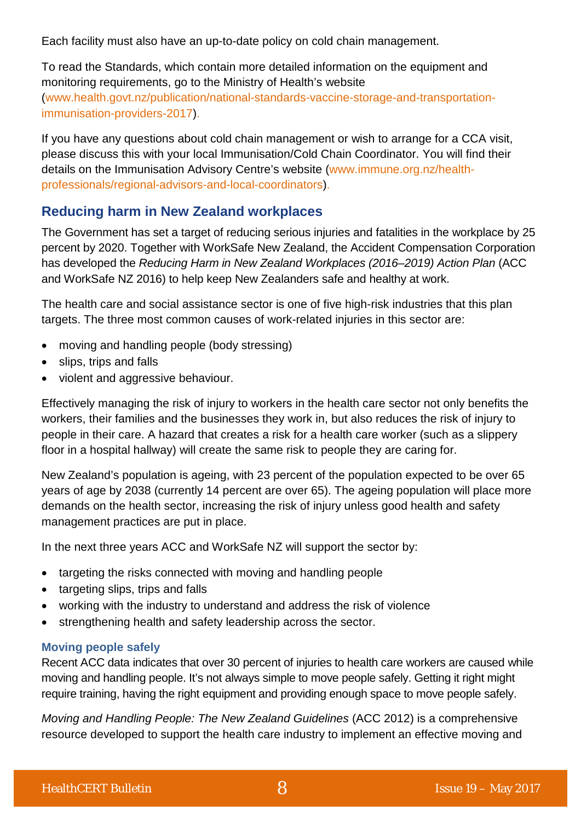Each facility must also have an up-to-date policy on cold chain management.

To read the Standards, which contain more detailed information on the equipment and monitoring requirements, go to the Ministry of Health's website [\(www.health.govt.nz/publication/national-standards-vaccine-storage-and-transportation](http://www.health.govt.nz/publication/national-standards-vaccine-storage-and-transportation-immunisation-providers-2017)[immunisation-providers-2017\)](http://www.health.govt.nz/publication/national-standards-vaccine-storage-and-transportation-immunisation-providers-2017).

If you have any questions about cold chain management or wish to arrange for a CCA visit, please discuss this with your local Immunisation/Cold Chain Coordinator. You will find their details on the Immunisation Advisory Centre's website [\(www.immune.org.nz/health](http://www.immune.org.nz/health-professionals/regional-advisors-and-local-coordinators)[professionals/regional-advisors-and-local-coordinators\)](http://www.immune.org.nz/health-professionals/regional-advisors-and-local-coordinators).

## **Reducing harm in New Zealand workplaces**

The Government has set a target of reducing serious injuries and fatalities in the workplace by 25 percent by 2020. Together with WorkSafe New Zealand, the Accident Compensation Corporation has developed the *Reducing Harm in New Zealand Workplaces (2016–2019) Action Plan* (ACC and WorkSafe NZ 2016) to help keep New Zealanders safe and healthy at work.

The health care and social assistance sector is one of five high-risk industries that this plan targets. The three most common causes of work-related injuries in this sector are:

- moving and handling people (body stressing)
- slips, trips and falls
- violent and aggressive behaviour.

Effectively managing the risk of injury to workers in the health care sector not only benefits the workers, their families and the businesses they work in, but also reduces the risk of injury to people in their care. A hazard that creates a risk for a health care worker (such as a slippery floor in a hospital hallway) will create the same risk to people they are caring for.

New Zealand's population is ageing, with 23 percent of the population expected to be over 65 years of age by 2038 (currently 14 percent are over 65). The ageing population will place more demands on the health sector, increasing the risk of injury unless good health and safety management practices are put in place.

In the next three years ACC and WorkSafe NZ will support the sector by:

- targeting the risks connected with moving and handling people
- targeting slips, trips and falls
- working with the industry to understand and address the risk of violence
- strengthening health and safety leadership across the sector.

#### **Moving people safely**

Recent ACC data indicates that over 30 percent of injuries to health care workers are caused while moving and handling people. It's not always simple to move people safely. Getting it right might require training, having the right equipment and providing enough space to move people safely.

*Moving and Handling People: The New Zealand Guidelines* (ACC 2012) is a comprehensive resource developed to support the health care industry to implement an effective moving and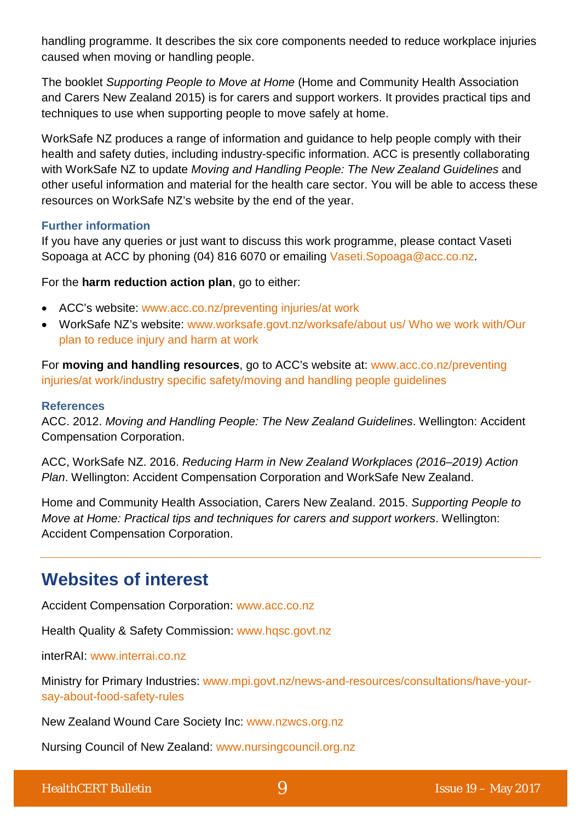handling programme. It describes the six core components needed to reduce workplace injuries caused when moving or handling people.

The booklet *Supporting People to Move at Home* (Home and Community Health Association and Carers New Zealand 2015) is for carers and support workers. It provides practical tips and techniques to use when supporting people to move safely at home.

WorkSafe NZ produces a range of information and guidance to help people comply with their health and safety duties, including industry-specific information. ACC is presently collaborating with WorkSafe NZ to update *Moving and Handling People: The New Zealand Guidelines* and other useful information and material for the health care sector. You will be able to access these resources on WorkSafe NZ's website by the end of the year.

#### **Further information**

If you have any queries or just want to discuss this work programme, please contact Vaseti Sopoaga at ACC by phoning (04) 816 6070 or emailing [Vaseti.Sopoaga@acc.co.nz.](mailto:Vaseti.Sopoaga@acc.co.nz)

For the **harm reduction action plan**, go to either:

- ACC's website: [www.acc.co.nz/preventing injuries/at work](http://www.acc.co.nz/preventing-injuries/at-work/WPC139178)
- WorkSafe NZ's website: [www.worksafe.govt.nz/worksafe/about us/ Who we work with/Our](http://www.worksafe.govt.nz/worksafe/about/who-we-work-with/our-plan-to-reduce-injury-and-harm-at-work?searchterm=Reducin)  [plan to reduce injury and harm at work](http://www.worksafe.govt.nz/worksafe/about/who-we-work-with/our-plan-to-reduce-injury-and-harm-at-work?searchterm=Reducin)

For **moving and handling resources**, go to ACC's website at: [www.acc.co.nz/preventing](http://www.acc.co.nz/preventing-injuries/at-work/industry-specific-safety/moving-and-handling-people-nz-guidelines/index.htm)  [injuries/at work/industry specific safety/moving and handling people guidelines](http://www.acc.co.nz/preventing-injuries/at-work/industry-specific-safety/moving-and-handling-people-nz-guidelines/index.htm)

#### **References**

ACC. 2012. *Moving and Handling People: The New Zealand Guidelines*. Wellington: Accident Compensation Corporation.

ACC, WorkSafe NZ. 2016. *Reducing Harm in New Zealand Workplaces (2016–2019) Action Plan*. Wellington: Accident Compensation Corporation and WorkSafe New Zealand.

Home and Community Health Association, Carers New Zealand. 2015. *Supporting People to Move at Home: Practical tips and techniques for carers and support workers*. Wellington: Accident Compensation Corporation.

# **Websites of interest**

Accident Compensation Corporation: [www.acc.co.nz](http://www.acc.co.nz/)

Health Quality & Safety Commission: [www.hqsc.govt.nz](http://www.hqsc.govt.nz/our-programmes/partners-in-care/publications-and-resources/publication/2046/)

interRAI: [www.interrai.co.nz](http://www.interrai.co.nz/)

Ministry for Primary Industries: [www.mpi.govt.nz/news-and-resources/consultations/have-your](http://www.mpi.govt.nz/news-and-resources/consultations/have-your-say-about-food-safety-rules/)[say-about-food-safety-rules](http://www.mpi.govt.nz/news-and-resources/consultations/have-your-say-about-food-safety-rules/)

New Zealand Wound Care Society Inc: [www.nzwcs.org.nz](http://www.nzwcs.org.nz/)

Nursing Council of New Zealand: [www.nursingcouncil.org.nz](http://www.nursingcouncil.org.nz/)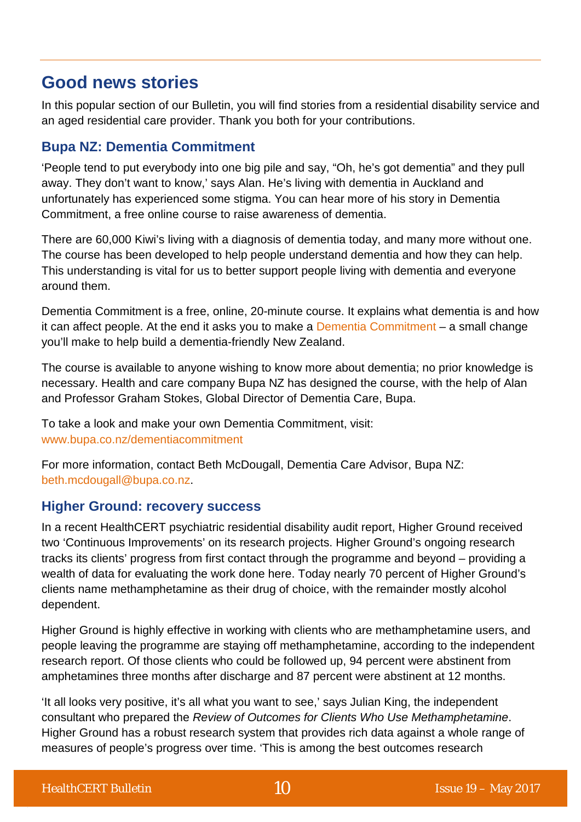# **Good news stories**

In this popular section of our Bulletin, you will find stories from a residential disability service and an aged residential care provider. Thank you both for your contributions.

## **Bupa NZ: Dementia Commitment**

'People tend to put everybody into one big pile and say, "Oh, he's got dementia" and they pull away. They don't want to know,' says Alan. He's living with dementia in Auckland and unfortunately has experienced some stigma. You can hear more of his story in [Dementia](http://www.bupa.co.nz/dementiacommitment)  [Commitment,](http://www.bupa.co.nz/dementiacommitment) a free online course to raise awareness of dementia.

There are 60,000 Kiwi's living with a diagnosis of dementia today, and many more without one. The course has been developed to help people understand dementia and how they can help. This understanding is vital for us to better support people living with dementia and everyone around them.

Dementia Commitment is a free, online, 20-minute course. It explains what dementia is and how it can affect people. At the end it asks you to make a [Dementia Commitment](http://www.bupa.co.nz/dementiacommitment) – a small change you'll make to help build a dementia-friendly New Zealand.

The course is available to anyone wishing to know more about dementia; no prior knowledge is necessary. Health and care company Bupa NZ has designed the course, with the help of Alan and Professor Graham Stokes, Global Director of Dementia Care, Bupa.

To take a look and make your own Dementia Commitment, visit: [www.bupa.co.nz/dementiacommitment](http://www.bupa.co.nz/dementiacommitment)

For more information, contact Beth McDougall, Dementia Care Advisor, Bupa NZ: [beth.mcdougall@bupa.co.nz.](mailto:beth.mcdougall@bupa.co.nz)

## **Higher Ground: recovery success**

In a recent HealthCERT psychiatric residential disability audit report, Higher Ground received two 'Continuous Improvements' on its research projects. Higher Ground's ongoing research tracks its clients' progress from first contact through the programme and beyond – providing a wealth of data for evaluating the work done here. Today nearly 70 percent of Higher Ground's clients name methamphetamine as their drug of choice, with the remainder mostly alcohol dependent.

Higher Ground is highly effective in working with clients who are methamphetamine users, and people leaving the programme are staying off methamphetamine, according to the independent research report. Of those clients who could be followed up, 94 percent were abstinent from amphetamines three months after discharge and 87 percent were abstinent at 12 months.

'It all looks very positive, it's all what you want to see,' says Julian King, the independent consultant who prepared the *Review of Outcomes for Clients Who Use Methamphetamine*. Higher Ground has a robust research system that provides rich data against a whole range of measures of people's progress over time. 'This is among the best outcomes research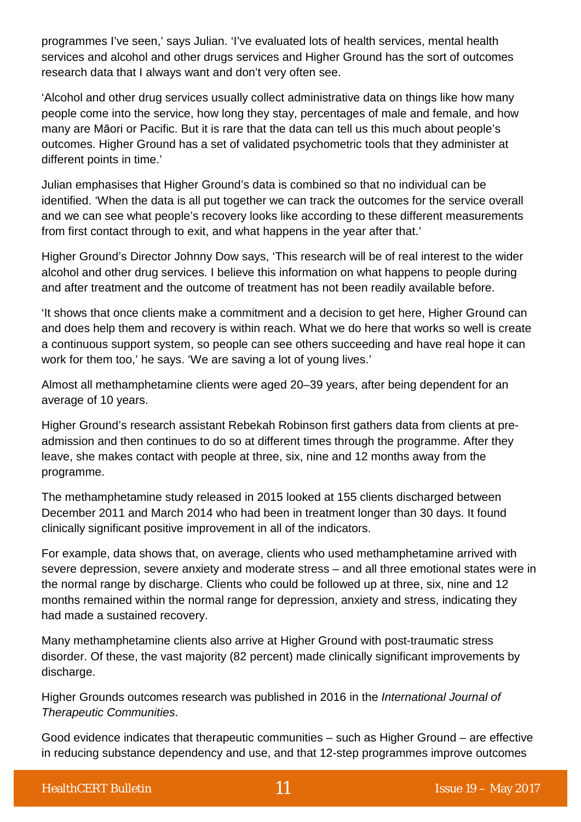programmes I've seen,' says Julian. 'I've evaluated lots of health services, mental health services and alcohol and other drugs services and Higher Ground has the sort of outcomes research data that I always want and don't very often see.

'Alcohol and other drug services usually collect administrative data on things like how many people come into the service, how long they stay, percentages of male and female, and how many are Māori or Pacific. But it is rare that the data can tell us this much about people's outcomes. Higher Ground has a set of validated psychometric tools that they administer at different points in time.'

Julian emphasises that Higher Ground's data is combined so that no individual can be identified. 'When the data is all put together we can track the outcomes for the service overall and we can see what people's recovery looks like according to these different measurements from first contact through to exit, and what happens in the year after that.'

Higher Ground's Director Johnny Dow says, 'This research will be of real interest to the wider alcohol and other drug services. I believe this information on what happens to people during and after treatment and the outcome of treatment has not been readily available before.

'It shows that once clients make a commitment and a decision to get here, Higher Ground can and does help them and recovery is within reach. What we do here that works so well is create a continuous support system, so people can see others succeeding and have real hope it can work for them too,' he says. 'We are saving a lot of young lives.'

Almost all methamphetamine clients were aged 20–39 years, after being dependent for an average of 10 years.

Higher Ground's research assistant Rebekah Robinson first gathers data from clients at preadmission and then continues to do so at different times through the programme. After they leave, she makes contact with people at three, six, nine and 12 months away from the programme.

The methamphetamine study released in 2015 looked at 155 clients discharged between December 2011 and March 2014 who had been in treatment longer than 30 days. It found clinically significant positive improvement in all of the indicators.

For example, data shows that, on average, clients who used methamphetamine arrived with severe depression, severe anxiety and moderate stress – and all three emotional states were in the normal range by discharge. Clients who could be followed up at three, six, nine and 12 months remained within the normal range for depression, anxiety and stress, indicating they had made a sustained recovery.

Many methamphetamine clients also arrive at Higher Ground with post-traumatic stress disorder. Of these, the vast majority (82 percent) made clinically significant improvements by discharge.

Higher Grounds outcomes research was published in 2016 in the *International Journal of Therapeutic Communities*.

Good evidence indicates that therapeutic communities – such as Higher Ground – are effective in reducing substance dependency and use, and that 12-step programmes improve outcomes